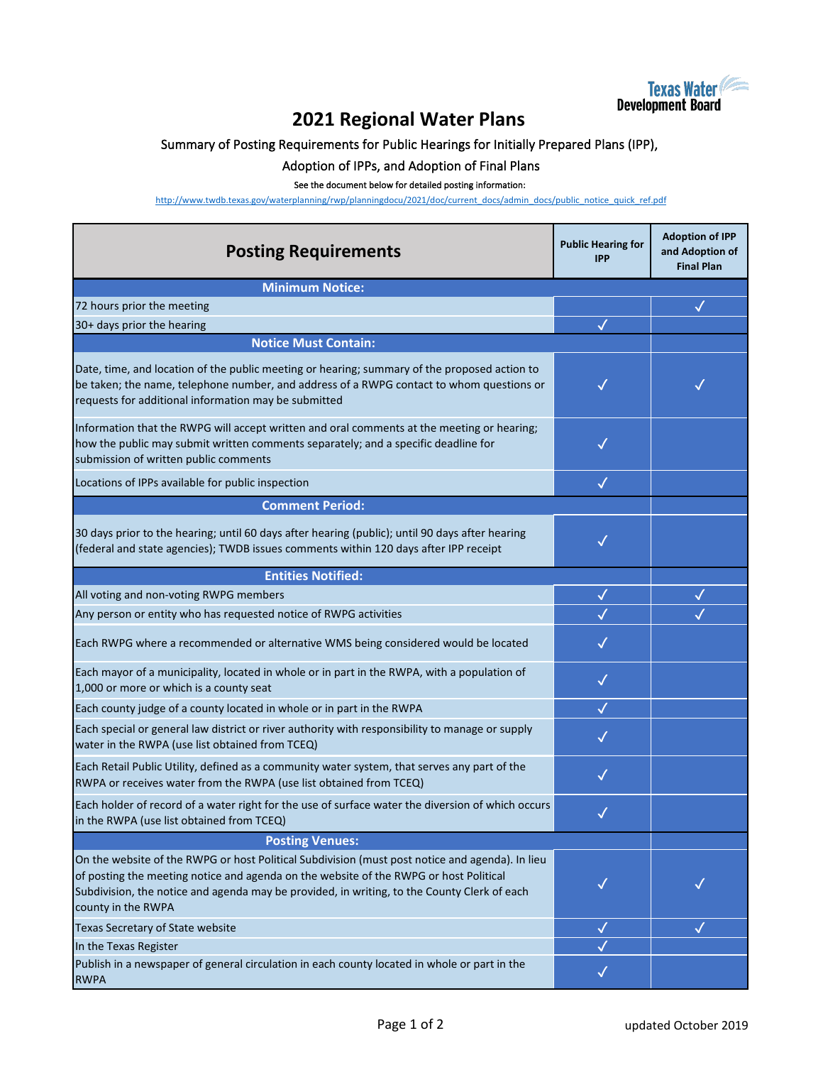

## **2021 Regional Water Plans**

## Summary of Posting Requirements for Public Hearings for Initially Prepared Plans (IPP),

## Adoption of IPPs, and Adoption of Final Plans

## See the document below for detailed posting information:

[h](http://www.twdb.texas.gov/waterplanning/rwp/planningdocu/2021/doc/current_docs/admin_docs/public_notice_quick_ref.pdf)ttp://www.twdb.texas.gov/waterplanning/rwp/planningdocu/2021/doc/current\_docs/admin\_docs/public\_notice\_quick\_ref.pdf

| <b>Posting Requirements</b>                                                                                                                                                                                                                                                                                   | <b>Public Hearing for</b><br><b>IPP</b> | <b>Adoption of IPP</b><br>and Adoption of<br><b>Final Plan</b> |
|---------------------------------------------------------------------------------------------------------------------------------------------------------------------------------------------------------------------------------------------------------------------------------------------------------------|-----------------------------------------|----------------------------------------------------------------|
| <b>Minimum Notice:</b>                                                                                                                                                                                                                                                                                        |                                         |                                                                |
| 72 hours prior the meeting                                                                                                                                                                                                                                                                                    |                                         | ✓                                                              |
| 30+ days prior the hearing                                                                                                                                                                                                                                                                                    |                                         |                                                                |
| <b>Notice Must Contain:</b>                                                                                                                                                                                                                                                                                   |                                         |                                                                |
| Date, time, and location of the public meeting or hearing; summary of the proposed action to<br>be taken; the name, telephone number, and address of a RWPG contact to whom questions or<br>requests for additional information may be submitted                                                              | ✓                                       |                                                                |
| Information that the RWPG will accept written and oral comments at the meeting or hearing;<br>how the public may submit written comments separately; and a specific deadline for<br>submission of written public comments                                                                                     |                                         |                                                                |
| Locations of IPPs available for public inspection                                                                                                                                                                                                                                                             | $\checkmark$                            |                                                                |
| <b>Comment Period:</b>                                                                                                                                                                                                                                                                                        |                                         |                                                                |
| 30 days prior to the hearing; until 60 days after hearing (public); until 90 days after hearing<br>(federal and state agencies); TWDB issues comments within 120 days after IPP receipt                                                                                                                       | ✓                                       |                                                                |
| <b>Entities Notified:</b>                                                                                                                                                                                                                                                                                     |                                         |                                                                |
| All voting and non-voting RWPG members                                                                                                                                                                                                                                                                        | $\checkmark$                            |                                                                |
| Any person or entity who has requested notice of RWPG activities                                                                                                                                                                                                                                              |                                         |                                                                |
| Each RWPG where a recommended or alternative WMS being considered would be located                                                                                                                                                                                                                            |                                         |                                                                |
| Each mayor of a municipality, located in whole or in part in the RWPA, with a population of<br>1,000 or more or which is a county seat                                                                                                                                                                        | $\checkmark$                            |                                                                |
| Each county judge of a county located in whole or in part in the RWPA                                                                                                                                                                                                                                         | $\checkmark$                            |                                                                |
| Each special or general law district or river authority with responsibility to manage or supply<br>water in the RWPA (use list obtained from TCEQ)                                                                                                                                                            | $\checkmark$                            |                                                                |
| Each Retail Public Utility, defined as a community water system, that serves any part of the<br>RWPA or receives water from the RWPA (use list obtained from TCEQ)                                                                                                                                            | $\checkmark$                            |                                                                |
| Each holder of record of a water right for the use of surface water the diversion of which occurs<br>in the RWPA (use list obtained from TCEQ)                                                                                                                                                                |                                         |                                                                |
| <b>Posting Venues:</b>                                                                                                                                                                                                                                                                                        |                                         |                                                                |
| On the website of the RWPG or host Political Subdivision (must post notice and agenda). In lieu<br>of posting the meeting notice and agenda on the website of the RWPG or host Political<br>Subdivision, the notice and agenda may be provided, in writing, to the County Clerk of each<br>county in the RWPA |                                         |                                                                |
| Texas Secretary of State website                                                                                                                                                                                                                                                                              | √                                       | √                                                              |
| In the Texas Register                                                                                                                                                                                                                                                                                         |                                         |                                                                |
| Publish in a newspaper of general circulation in each county located in whole or part in the<br><b>RWPA</b>                                                                                                                                                                                                   |                                         |                                                                |